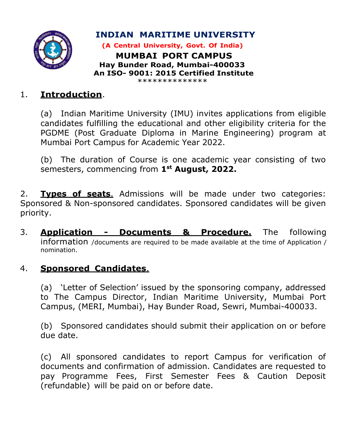

INDIAN MARITIME UNIVERSITY

(A Central University, Govt. Of India) MUMBAI PORT CAMPUS Hay Bunder Road, Mumbai-400033 An ISO- 9001: 2015 Certified Institute

#### \*\*\*\*\*\*\*\*\*\*\*\*\*\*

# 1. Introduction.

(a) Indian Maritime University (IMU) invites applications from eligible candidates fulfilling the educational and other eligibility criteria for the PGDME (Post Graduate Diploma in Marine Engineering) program at Mumbai Port Campus for Academic Year 2022.

(b) The duration of Course is one academic year consisting of two semesters, commencing from 1st August, 2022.

2. Types of seats. Admissions will be made under two categories: Sponsored & Non-sponsored candidates. Sponsored candidates will be given priority.

3. Application - Documents & Procedure. The following information /documents are required to be made available at the time of Application / nomination.

## 4. **Sponsored Candidates.**

(a) 'Letter of Selection' issued by the sponsoring company, addressed to The Campus Director, Indian Maritime University, Mumbai Port Campus, (MERI, Mumbai), Hay Bunder Road, Sewri, Mumbai-400033.

(b) Sponsored candidates should submit their application on or before due date.

(c) All sponsored candidates to report Campus for verification of documents and confirmation of admission. Candidates are requested to pay Programme Fees, First Semester Fees & Caution Deposit (refundable) will be paid on or before date.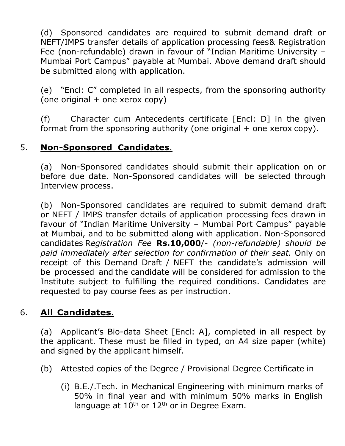(d) Sponsored candidates are required to submit demand draft or NEFT/IMPS transfer details of application processing fees & Registration Fee (non-refundable) drawn in favour of "Indian Maritime University – Mumbai Port Campus" payable at Mumbai. Above demand draft should be submitted along with application.

(e) "Encl: C" completed in all respects, from the sponsoring authority (one original + one xerox copy)

(f) Character cum Antecedents certificate [Encl: D] in the given format from the sponsoring authority (one original  $+$  one xerox copy).

## 5. Non-Sponsored Candidates.

(a) Non-Sponsored candidates should submit their application on or before due date. Non-Sponsored candidates will be selected through Interview process.

(b) Non-Sponsored candidates are required to submit demand draft or NEFT / IMPS transfer details of application processing fees drawn in favour of "Indian Maritime University – Mumbai Port Campus" payable at Mumbai, and to be submitted along with application. Non-Sponsored candidates Registration Fee Rs.10,000/- (non-refundable) should be paid immediately after selection for confirmation of their seat. Only on receipt of this Demand Draft / NEFT the candidate's admission will be processed and the candidate will be considered for admission to the Institute subject to fulfilling the required conditions. Candidates are requested to pay course fees as per instruction.

## 6. All Candidates.

(a) Applicant's Bio-data Sheet [Encl: A], completed in all respect by the applicant. These must be filled in typed, on A4 size paper (white) and signed by the applicant himself.

- (b) Attested copies of the Degree / Provisional Degree Certificate in
	- (i) B.E./.Tech. in Mechanical Engineering with minimum marks of 50% in final year and with minimum 50% marks in English language at  $10^{th}$  or  $12^{th}$  or in Degree Exam.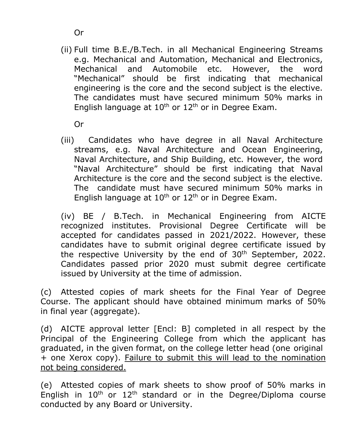(ii) Full time B.E./B.Tech. in all Mechanical Engineering Streams e.g. Mechanical and Automation, Mechanical and Electronics, Mechanical and Automobile etc. However, the word "Mechanical" should be first indicating that mechanical engineering is the core and the second subject is the elective. The candidates must have secured minimum 50% marks in English language at  $10^{th}$  or  $12^{th}$  or in Degree Exam.

Or

(iii) Candidates who have degree in all Naval Architecture streams, e.g. Naval Architecture and Ocean Engineering, Naval Architecture, and Ship Building, etc. However, the word "Naval Architecture" should be first indicating that Naval Architecture is the core and the second subject is the elective. The candidate must have secured minimum 50% marks in English language at  $10^{th}$  or  $12^{th}$  or in Degree Exam.

(iv) BE / B.Tech. in Mechanical Engineering from AICTE recognized institutes. Provisional Degree Certificate will be accepted for candidates passed in 2021/2022. However, these candidates have to submit original degree certificate issued by the respective University by the end of  $30<sup>th</sup>$  September, 2022. Candidates passed prior 2020 must submit degree certificate issued by University at the time of admission.

(c) Attested copies of mark sheets for the Final Year of Degree Course. The applicant should have obtained minimum marks of 50% in final year (aggregate).

(d) AICTE approval letter [Encl: B] completed in all respect by the Principal of the Engineering College from which the applicant has graduated, in the given format, on the college letter head (one original + one Xerox copy). Failure to submit this will lead to the nomination not being considered.

(e) Attested copies of mark sheets to show proof of 50% marks in English in  $10^{th}$  or  $12^{th}$  standard or in the Degree/Diploma course conducted by any Board or University.

Or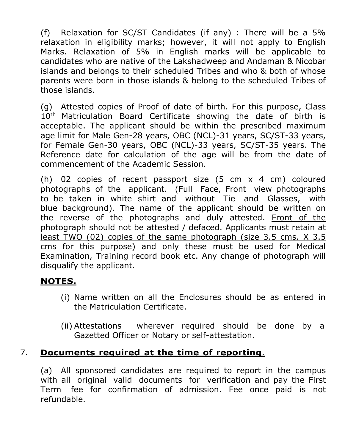(f) Relaxation for SC/ST Candidates (if any) : There will be a 5% relaxation in eligibility marks; however, it will not apply to English Marks. Relaxation of 5% in English marks will be applicable to candidates who are native of the Lakshadweep and Andaman & Nicobar islands and belongs to their scheduled Tribes and who & both of whose parents were born in those islands & belong to the scheduled Tribes of those islands.

(g) Attested copies of Proof of date of birth. For this purpose, Class 10<sup>th</sup> Matriculation Board Certificate showing the date of birth is acceptable. The applicant should be within the prescribed maximum age limit for Male Gen-28 years, OBC (NCL)-31 years, SC/ST-33 years, for Female Gen-30 years, OBC (NCL)-33 years, SC/ST-35 years. The Reference date for calculation of the age will be from the date of commencement of the Academic Session.

(h) 02 copies of recent passport size (5 cm x 4 cm) coloured photographs of the applicant. (Full Face, Front view photographs to be taken in white shirt and without Tie and Glasses, with blue background). The name of the applicant should be written on the reverse of the photographs and duly attested. Front of the photograph should not be attested / defaced. Applicants must retain at least TWO (02) copies of the same photograph (size 3.5 cms. X 3.5 cms for this purpose) and only these must be used for Medical Examination, Training record book etc. Any change of photograph will disqualify the applicant.

## NOTES.

- (i) Name written on all the Enclosures should be as entered in the Matriculation Certificate.
- (ii) Attestations wherever required should be done by a Gazetted Officer or Notary or self-attestation.

# 7. Documents required at the time of reporting.

(a) All sponsored candidates are required to report in the campus with all original valid documents for verification and pay the First Term fee for confirmation of admission. Fee once paid is not refundable.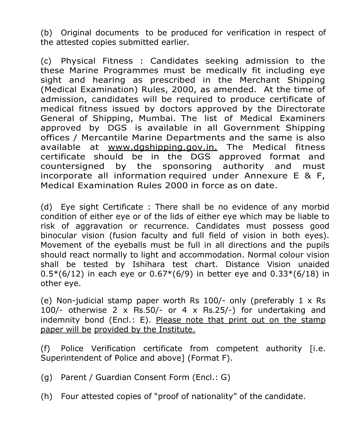(b) Original documents to be produced for verification in respect of the attested copies submitted earlier.

(c) Physical Fitness : Candidates seeking admission to the these Marine Programmes must be medically fit including eye sight and hearing as prescribed in the Merchant Shipping (Medical Examination) Rules, 2000, as amended. At the time of admission, candidates will be required to produce certificate of medical fitness issued by doctors approved by the Directorate General of Shipping, Mumbai. The list of Medical Examiners approved by DGS is available in all Government Shipping offices / Mercantile Marine Departments and the same is also available at www.dgshipping.gov.in. The Medical fitness certificate should be in the DGS approved format and countersigned by the sponsoring authority and must incorporate all information required under Annexure E & F, Medical Examination Rules 2000 in force as on date.

(d) Eye sight Certificate : There shall be no evidence of any morbid condition of either eye or of the lids of either eye which may be liable to risk of aggravation or recurrence. Candidates must possess good binocular vision (fusion faculty and full field of vision in both eyes). Movement of the eyeballs must be full in all directions and the pupils should react normally to light and accommodation. Normal colour vision shall be tested by Ishihara test chart. Distance Vision unaided  $0.5*(6/12)$  in each eye or  $0.67*(6/9)$  in better eye and  $0.33*(6/18)$  in other eye.

(e) Non-judicial stamp paper worth Rs  $100/-$  only (preferably  $1 \times Rs$ 100/- otherwise 2 x Rs.50/- or 4 x Rs.25/-) for undertaking and indemnity bond (Encl.: E). Please note that print out on the stamp paper will be provided by the Institute.

(f) Police Verification certificate from competent authority [i.e. Superintendent of Police and above] (Format F).

- (g) Parent / Guardian Consent Form (Encl.: G)
- (h) Four attested copies of "proof of nationality" of the candidate.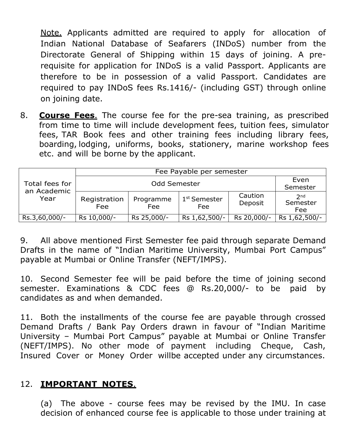Note. Applicants admitted are required to apply for allocation of Indian National Database of Seafarers (INDoS) number from the Directorate General of Shipping within 15 days of joining. A prerequisite for application for INDoS is a valid Passport. Applicants are therefore to be in possession of a valid Passport. Candidates are required to pay INDoS fees Rs.1416/- (including GST) through online on joining date.

8. **Course Fees.** The course fee for the pre-sea training, as prescribed from time to time will include development fees, tuition fees, simulator fees, TAR Book fees and other training fees including library fees, boarding, lodging, uniforms, books, stationery, marine workshop fees etc. and will be borne by the applicant.

|                               | Fee Payable per semester |                  |                                 |                    |                                    |  |  |  |  |
|-------------------------------|--------------------------|------------------|---------------------------------|--------------------|------------------------------------|--|--|--|--|
| Total fees for<br>an Academic |                          | Even<br>Semester |                                 |                    |                                    |  |  |  |  |
| Year                          | Registration<br>Fee      | Programme<br>Fee | 1 <sup>st</sup> Semester<br>Fee | Caution<br>Deposit | 2 <sub>nd</sub><br>Semester<br>Fee |  |  |  |  |
| Rs.3,60,000/-                 | Rs 10,000/-              | Rs 25,000/-      | Rs 1,62,500/-                   | Rs 20,000/-        | Rs 1,62,500/-                      |  |  |  |  |

9. All above mentioned First Semester fee paid through separate Demand Drafts in the name of "Indian Maritime University, Mumbai Port Campus" payable at Mumbai or Online Transfer (NEFT/IMPS).

10. Second Semester fee will be paid before the time of joining second semester. Examinations & CDC fees @ Rs.20,000/- to be paid by candidates as and when demanded.

11. Both the installments of the course fee are payable through crossed Demand Drafts / Bank Pay Orders drawn in favour of "Indian Maritime University – Mumbai Port Campus" payable at Mumbai or Online Transfer (NEFT/IMPS). No other mode of payment including Cheque, Cash, Insured Cover or Money Order willbe accepted under any circumstances.

## 12. IMPORTANT NOTES.

(a) The above - course fees may be revised by the IMU. In case decision of enhanced course fee is applicable to those under training at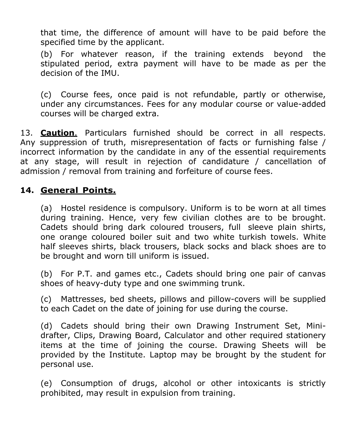that time, the difference of amount will have to be paid before the specified time by the applicant.

(b) For whatever reason, if the training extends beyond the stipulated period, extra payment will have to be made as per the decision of the IMU.

(c) Course fees, once paid is not refundable, partly or otherwise, under any circumstances. Fees for any modular course or value-added courses will be charged extra.

13. **Caution**. Particulars furnished should be correct in all respects. Any suppression of truth, misrepresentation of facts or furnishing false / incorrect information by the candidate in any of the essential requirements at any stage, will result in rejection of candidature / cancellation of admission / removal from training and forfeiture of course fees.

### 14. General Points.

(a) Hostel residence is compulsory. Uniform is to be worn at all times during training. Hence, very few civilian clothes are to be brought. Cadets should bring dark coloured trousers, full sleeve plain shirts, one orange coloured boiler suit and two white turkish towels. White half sleeves shirts, black trousers, black socks and black shoes are to be brought and worn till uniform is issued.

(b) For P.T. and games etc., Cadets should bring one pair of canvas shoes of heavy-duty type and one swimming trunk.

(c) Mattresses, bed sheets, pillows and pillow-covers will be supplied to each Cadet on the date of joining for use during the course.

(d) Cadets should bring their own Drawing Instrument Set, Minidrafter, Clips, Drawing Board, Calculator and other required stationery items at the time of joining the course. Drawing Sheets will be provided by the Institute. Laptop may be brought by the student for personal use.

(e) Consumption of drugs, alcohol or other intoxicants is strictly prohibited, may result in expulsion from training.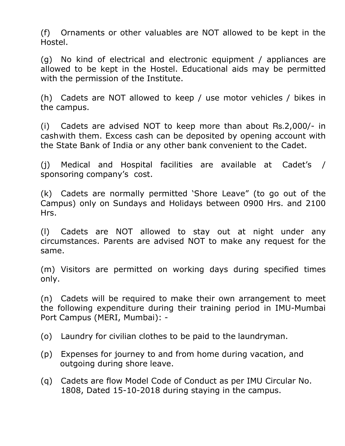(f) Ornaments or other valuables are NOT allowed to be kept in the Hostel.

(g) No kind of electrical and electronic equipment / appliances are allowed to be kept in the Hostel. Educational aids may be permitted with the permission of the Institute.

(h) Cadets are NOT allowed to keep / use motor vehicles / bikes in the campus.

(i) Cadets are advised NOT to keep more than about Rs.2,000/- in cash with them. Excess cash can be deposited by opening account with the State Bank of India or any other bank convenient to the Cadet.

(j) Medical and Hospital facilities are available at Cadet's / sponsoring company's cost.

(k) Cadets are normally permitted 'Shore Leave" (to go out of the Campus) only on Sundays and Holidays between 0900 Hrs. and 2100 Hrs.

(l) Cadets are NOT allowed to stay out at night under any circumstances. Parents are advised NOT to make any request for the same.

(m) Visitors are permitted on working days during specified times only.

(n) Cadets will be required to make their own arrangement to meet the following expenditure during their training period in IMU-Mumbai Port Campus (MERI, Mumbai): -

- (o) Laundry for civilian clothes to be paid to the laundryman.
- (p) Expenses for journey to and from home during vacation, and outgoing during shore leave.
- (q) Cadets are flow Model Code of Conduct as per IMU Circular No. 1808, Dated 15-10-2018 during staying in the campus.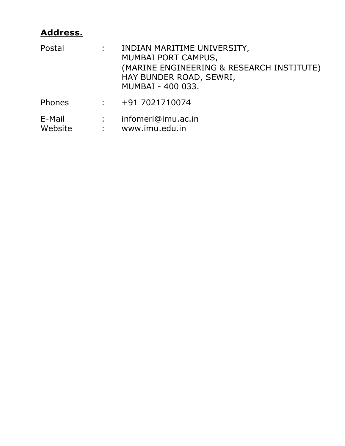# Address.

| Postal            | $\mathbf{L} = \mathbf{0}$      | INDIAN MARITIME UNIVERSITY,<br>MUMBAI PORT CAMPUS,<br>(MARINE ENGINEERING & RESEARCH INSTITUTE)<br>HAY BUNDER ROAD, SEWRI,<br>MUMBAI - 400 033. |
|-------------------|--------------------------------|-------------------------------------------------------------------------------------------------------------------------------------------------|
| Phones            | $\mathbf{1}$                   | +91 7021710074                                                                                                                                  |
| E-Mail<br>Website | $\mathbf{1}$<br>$\mathbb{R}^n$ | infomeri@imu.ac.in<br>www.imu.edu.in                                                                                                            |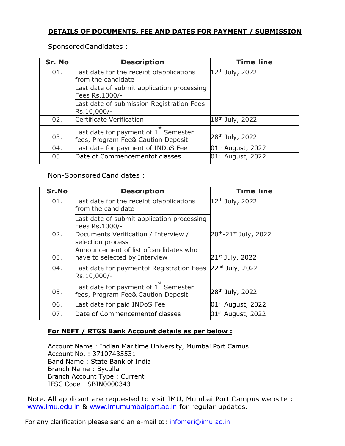#### DETAILS OF DOCUMENTS, FEE AND DATES FOR PAYMENT / SUBMISSION

Sponsored Candidates :

| Sr. No | <b>Description</b>                                                                      | <b>Time line</b>            |
|--------|-----------------------------------------------------------------------------------------|-----------------------------|
| 01.    | Last date for the receipt ofapplications<br>from the candidate                          | 12 <sup>th</sup> July, 2022 |
|        | Last date of submit application processing<br>Fees Rs.1000/-                            |                             |
|        | Last date of submission Registration Fees<br>Rs.10,000/-                                |                             |
| 02.    | Certificate Verification                                                                | 18 <sup>th</sup> July, 2022 |
| 03.    | Last date for payment of $1^{\text{st}}$ Semester<br>fees, Program Fee& Caution Deposit | 28 <sup>th</sup> July, 2022 |
| 04.    | Last date for payment of INDoS Fee                                                      | $01st$ August, 2022         |
| 05.    | Date of Commencementof classes                                                          | $01st$ August, 2022         |

Non-Sponsored Candidates :

| Sr.No | <b>Description</b>                                                                    | <b>Time line</b>            |
|-------|---------------------------------------------------------------------------------------|-----------------------------|
| 01.   | Last date for the receipt ofapplications<br>from the candidate                        | 12 <sup>th</sup> July, 2022 |
|       | Last date of submit application processing<br>Fees Rs.1000/-                          |                             |
| 02.   | Documents Verification / Interview /<br>selection process                             | 20th-21st July, 2022        |
|       | Announcement of list ofcandidates who                                                 |                             |
| 03.   | have to selected by Interview                                                         | 21 <sup>st</sup> July, 2022 |
| 04.   | Last date for paymentof Registration Fees<br>Rs.10,000/-                              | $22nd$ July, 2022           |
| 05.   | Last date for payment of $1^{\degree}$ Semester<br>fees, Program Fee& Caution Deposit | 28 <sup>th</sup> July, 2022 |
| 06.   | Last date for paid INDoS Fee                                                          | $101st$ August, 2022        |
| 07.   | Date of Commencementof classes                                                        | $01st$ August, 2022         |

#### For NEFT / RTGS Bank Account details as per below :

Account Name : Indian Maritime University, Mumbai Port Camus Account No. : 37107435531 Band Name : State Bank of India Branch Name : Byculla Branch Account Type : Current IFSC Code : SBIN0000343

Note. All applicant are requested to visit IMU, Mumbai Port Campus website : www.imu.edu.in & www.imumumbaiport.ac.in for regular updates.

For any clarification please send an e-mail to: infomeri@imu.ac.in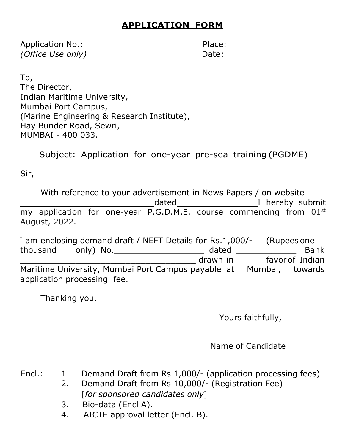# APPLICATION FORM

Application No.: (Office Use only) Date: Date: Date: Date: Date: Date: Date: Date: Date: Date: Date: Date: Date: Date: Date: Date: Date: Date: Date: Date: Date: Date: Date: Date: Date: Date: Date: Date: Date: Date: Date: Date: Date: Date:

| Place: |  |
|--------|--|
| Date:  |  |

To, The Director, Indian Maritime University, Mumbai Port Campus, (Marine Engineering & Research Institute), Hay Bunder Road, Sewri, MUMBAI - 400 033.

Subject: Application for one-year pre-sea training (PGDME)

Sir,

With reference to your advertisement in News Papers / on website dated **I** hereby submit my application for one-year P.G.D.M.E. course commencing from 01<sup>st</sup> August, 2022.

I am enclosing demand draft / NEFT Details for Rs.1,000/- (Rupees one thousand only) No.\_\_\_\_\_\_\_\_\_\_\_\_\_\_\_\_\_\_ dated \_\_\_\_\_\_\_\_\_\_\_\_ Bank drawn in Favor of Indian Maritime University, Mumbai Port Campus payable at Mumbai, towards application processing fee.

Thanking you,

Yours faithfully,

Name of Candidate

- Encl.: 1 Demand Draft from Rs 1,000/- (application processing fees)
	- 2. Demand Draft from Rs 10,000/- (Registration Fee) [for sponsored candidates only]
		- 3. Bio-data (Encl A).
		- 4. AICTE approval letter (Encl. B).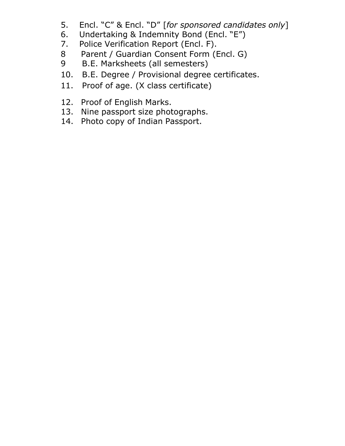- 5. Encl. "C" & Encl. "D" [for sponsored candidates only]
- 6. Undertaking & Indemnity Bond (Encl. "E")
- 7. Police Verification Report (Encl. F).
- 8 Parent / Guardian Consent Form (Encl. G)
- 9 B.E. Marksheets (all semesters)
- 10. B.E. Degree / Provisional degree certificates.
- 11. Proof of age. (X class certificate)
- 12. Proof of English Marks.
- 13. Nine passport size photographs.
- 14. Photo copy of Indian Passport.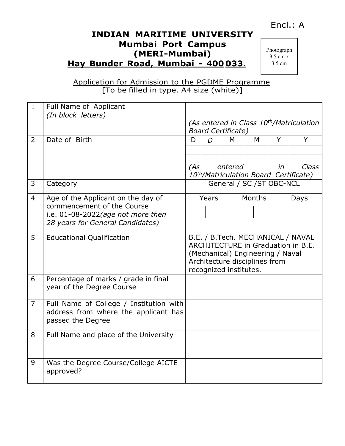### Encl.: A

### INDIAN MARITIME UNIVERSITY Mumbai Port Campus (MERI-Mumbai) Hay Bunder Road, Mumbai - 400 033.

Photograph  $3.5 \text{ cm} x$ 3.5 cm

Application for Admission to the PGDME Programme [To be filled in type. A4 size (white)]

| $\mathbf{1}$   | Full Name of Applicant                                                                               |     |                |                                                                                                                                                                        |               |           |              |
|----------------|------------------------------------------------------------------------------------------------------|-----|----------------|------------------------------------------------------------------------------------------------------------------------------------------------------------------------|---------------|-----------|--------------|
|                | (In block letters)                                                                                   |     |                | (As entered in Class 10 <sup>th</sup> /Matriculation<br><b>Board Certificate)</b>                                                                                      |               |           |              |
| $\overline{2}$ | Date of Birth                                                                                        | D   | $\overline{D}$ | M                                                                                                                                                                      | M             | Y         | Y            |
|                |                                                                                                      |     |                |                                                                                                                                                                        |               |           |              |
|                |                                                                                                      | (As |                | entered<br>10th/Matriculation Board Certificate)                                                                                                                       |               | <i>in</i> | <b>Class</b> |
| 3              | Category                                                                                             |     |                | General / SC / ST OBC-NCL                                                                                                                                              |               |           |              |
| $\overline{4}$ | Age of the Applicant on the day of<br>commencement of the Course                                     |     | Years          |                                                                                                                                                                        | <b>Months</b> |           | Days         |
|                | i.e. 01-08-2022(age not more then                                                                    |     |                |                                                                                                                                                                        |               |           |              |
|                | 28 years for General Candidates)                                                                     |     |                |                                                                                                                                                                        |               |           |              |
| 5              | <b>Educational Qualification</b>                                                                     |     |                | B.E. / B.Tech. MECHANICAL / NAVAL<br>ARCHITECTURE in Graduation in B.E.<br>(Mechanical) Engineering / Naval<br>Architecture disciplines from<br>recognized institutes. |               |           |              |
| 6              | Percentage of marks / grade in final<br>year of the Degree Course                                    |     |                |                                                                                                                                                                        |               |           |              |
| $\overline{7}$ | Full Name of College / Institution with<br>address from where the applicant has<br>passed the Degree |     |                |                                                                                                                                                                        |               |           |              |
| 8              | Full Name and place of the University                                                                |     |                |                                                                                                                                                                        |               |           |              |
| 9              | Was the Degree Course/College AICTE<br>approved?                                                     |     |                |                                                                                                                                                                        |               |           |              |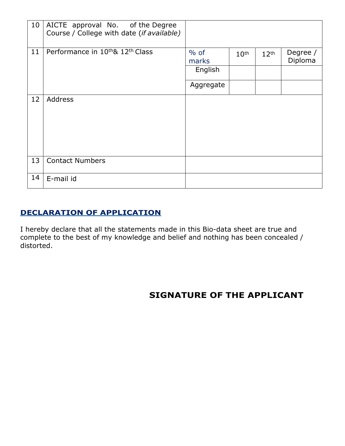| 10 | AICTE approval No. of the Degree<br>Course / College with date (if available) |                 |                  |                  |                     |
|----|-------------------------------------------------------------------------------|-----------------|------------------|------------------|---------------------|
| 11 | Performance in 10 <sup>th</sup> & 12 <sup>th</sup> Class                      | $%$ of<br>marks | 10 <sup>th</sup> | 12 <sup>th</sup> | Degree /<br>Diploma |
|    |                                                                               | English         |                  |                  |                     |
|    |                                                                               | Aggregate       |                  |                  |                     |
| 12 | Address                                                                       |                 |                  |                  |                     |
| 13 | <b>Contact Numbers</b>                                                        |                 |                  |                  |                     |
| 14 | E-mail id                                                                     |                 |                  |                  |                     |

#### DECLARATION OF APPLICATION

I hereby declare that all the statements made in this Bio-data sheet are true and complete to the best of my knowledge and belief and nothing has been concealed / distorted.

# SIGNATURE OF THE APPLICANT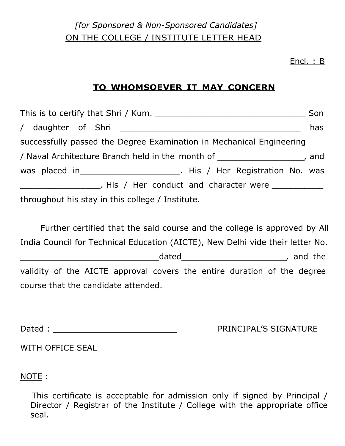# [for Sponsored & Non-Sponsored Candidates] ON THE COLLEGE / INSTITUTE LETTER HEAD

#### <u>Encl. : B</u>

# TO WHOMSOEVER IT MAY CONCERN

|                                                                             | has |  |  |  |
|-----------------------------------------------------------------------------|-----|--|--|--|
| successfully passed the Degree Examination in Mechanical Engineering        |     |  |  |  |
| / Naval Architecture Branch held in the month of _____________________, and |     |  |  |  |
| was placed in __________________________. His / Her Registration No. was    |     |  |  |  |
| . His / Her conduct and character were                                      |     |  |  |  |
| throughout his stay in this college / Institute.                            |     |  |  |  |

Further certified that the said course and the college is approved by All India Council for Technical Education (AICTE), New Delhi vide their letter No. dated dated and the state of the state of the state of the state of the state of the state of the state of the validity of the AICTE approval covers the entire duration of the degree course that the candidate attended.

Dated :

PRINCIPAL'S SIGNATURE

WITH OFFICE SEAL

NOTE :

This certificate is acceptable for admission only if signed by Principal / Director / Registrar of the Institute / College with the appropriate office seal.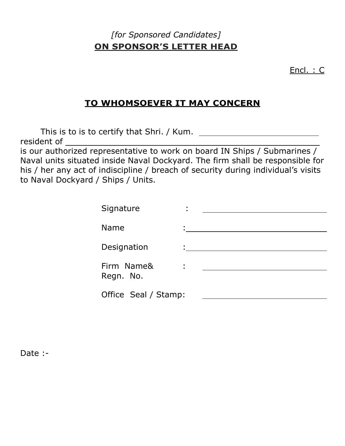# [for Sponsored Candidates] ON SPONSOR'S LETTER HEAD

Encl. : C

## TO WHOMSOEVER IT MAY CONCERN

This is to is to certify that Shri. / Kum. resident of is our authorized representative to work on board IN Ships / Submarines / Naval units situated inside Naval Dockyard. The firm shall be responsible for his / her any act of indiscipline / breach of security during individual's visits to Naval Dockyard / Ships / Units.

| Signature               | $\blacksquare$ |  |
|-------------------------|----------------|--|
| <b>Name</b>             |                |  |
| Designation             |                |  |
| Firm Name&<br>Regn. No. | Î,             |  |
| Office Seal / Stamp:    |                |  |

Date :-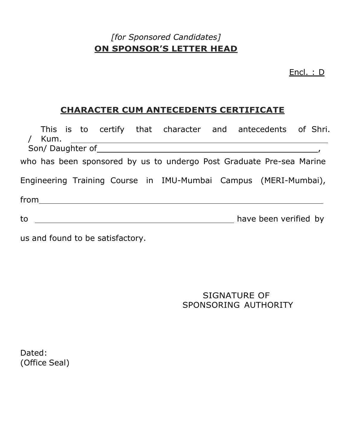# [for Sponsored Candidates] ON SPONSOR'S LETTER HEAD

Encl. : D

## CHARACTER CUM ANTECEDENTS CERTIFICATE

|                                                                                                                                                                                                                                                                                                                                                                                   | Kum. |  |  | This is to certify that character and antecedents of Shri.                                                     |  |                       |  |
|-----------------------------------------------------------------------------------------------------------------------------------------------------------------------------------------------------------------------------------------------------------------------------------------------------------------------------------------------------------------------------------|------|--|--|----------------------------------------------------------------------------------------------------------------|--|-----------------------|--|
|                                                                                                                                                                                                                                                                                                                                                                                   |      |  |  | Son/Daughter of Sonne and Daughter of Sonne and Daughter of Sonne and Daughter of Sonne and Daughter and David |  |                       |  |
|                                                                                                                                                                                                                                                                                                                                                                                   |      |  |  | who has been sponsored by us to undergo Post Graduate Pre-sea Marine                                           |  |                       |  |
|                                                                                                                                                                                                                                                                                                                                                                                   |      |  |  | Engineering Training Course in IMU-Mumbai Campus (MERI-Mumbai),                                                |  |                       |  |
| $\begin{picture}(150,10) \put(0,0){\dashbox{0.5}(10,0){ }} \put(150,0){\circle{10}} \put(150,0){\circle{10}} \put(150,0){\circle{10}} \put(150,0){\circle{10}} \put(150,0){\circle{10}} \put(150,0){\circle{10}} \put(150,0){\circle{10}} \put(150,0){\circle{10}} \put(150,0){\circle{10}} \put(150,0){\circle{10}} \put(150,0){\circle{10}} \put(150,0){\circle{10}} \put(150,$ |      |  |  |                                                                                                                |  |                       |  |
| to the contract of the contract of the contract of the contract of the contract of the contract of the contract of the contract of the contract of the contract of the contract of the contract of the contract of the contrac                                                                                                                                                    |      |  |  |                                                                                                                |  | have been verified by |  |

us and found to be satisfactory.

SIGNATURE OF SPONSORING AUTHORITY

Dated: (Office Seal)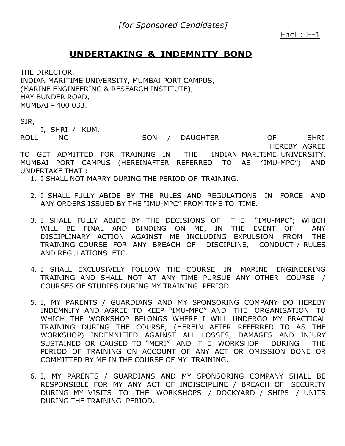#### Encl : E-1

#### UNDERTAKING & INDEMNITY BOND

THE DIRECTOR, INDIAN MARITIME UNIVERSITY, MUMBAI PORT CAMPUS, (MARINE ENGINEERING & RESEARCH INSTITUTE), HAY BUNDER ROAD, MUMBAI - 400 033.

SIR,

I, SHRI / KUM.

ROLL NO. SON / DAUGHTER OF SHRI HEREBY AGREE TO GET ADMITTED FOR TRAINING IN THE INDIAN MARITIME UNIVERSITY, MUMBAI PORT CAMPUS (HEREINAFTER REFERRED TO AS "IMU-MPC") AND UNDERTAKE THAT :

1. I SHALL NOT MARRY DURING THE PERIOD OF TRAINING.

- 2. I SHALL FULLY ABIDE BY THE RULES AND REGULATIONS IN FORCE AND ANY ORDERS ISSUED BY THE "IMU-MPC" FROM TIME TO TIME.
- 3. I SHALL FULLY ABIDE BY THE DECISIONS OF THE "IMU-MPC"; WHICH WILL BE FINAL AND BINDING ON ME, IN THE EVENT OF ANY DISCIPLINARY ACTION AGAINST ME INCLUDING EXPULSION FROM THE TRAINING COURSE FOR ANY BREACH OF DISCIPLINE, CONDUCT / RULES AND REGULATIONS ETC.
- 4. I SHALL EXCLUSIVELY FOLLOW THE COURSE IN MARINE ENGINEERING TRAINING AND SHALL NOT AT ANY TIME PURSUE ANY OTHER COURSE / COURSES OF STUDIES DURING MY TRAINING PERIOD.
- 5. I, MY PARENTS / GUARDIANS AND MY SPONSORING COMPANY DO HEREBY INDEMNIFY AND AGREE TO KEEP "IMU-MPC" AND THE ORGANISATION TO WHICH THE WORKSHOP BELONGS WHERE I WILL UNDERGO MY PRACTICAL TRAINING DURING THE COURSE, (HEREIN AFTER REFERRED TO AS THE WORKSHOP) INDEMNIFIED AGAINST ALL LOSSES, DAMAGES AND INJURY SUSTAINED OR CAUSED TO "MERI" AND THE WORKSHOP DURING THE PERIOD OF TRAINING ON ACCOUNT OF ANY ACT OR OMISSION DONE OR COMMITTED BY ME IN THE COURSE OF MY TRAINING.
- 6. I, MY PARENTS / GUARDIANS AND MY SPONSORING COMPANY SHALL BE RESPONSIBLE FOR MY ANY ACT OF INDISCIPLINE / BREACH OF SECURITY DURING MY VISITS TO THE WORKSHOPS / DOCKYARD / SHIPS / UNITS DURING THE TRAINING PERIOD.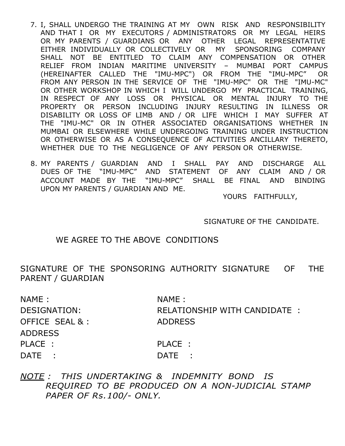- 7. I, SHALL UNDERGO THE TRAINING AT MY OWN RISK AND RESPONSIBILITY AND THAT I OR MY EXECUTORS / ADMINISTRATORS OR MY LEGAL HEIRS OR MY PARENTS / GUARDIANS OR ANY OTHER LEGAL REPRESENTATIVE EITHER INDIVIDUALLY OR COLLECTIVELY OR MY SPONSORING COMPANY SHALL NOT BE ENTITLED TO CLAIM ANY COMPENSATION OR OTHER RELIEF FROM INDIAN MARITIME UNIVERSITY – MUMBAI PORT CAMPUS (HEREINAFTER CALLED THE "IMU-MPC") OR FROM THE "IMU-MPC" OR FROM ANY PERSON IN THE SERVICE OF THE "IMU-MPC" OR THE "IMU-MC" OR OTHER WORKSHOP IN WHICH I WILL UNDERGO MY PRACTICAL TRAINING, IN RESPECT OF ANY LOSS OR PHYSICAL OR MENTAL INJURY TO THE PROPERTY OR PERSON INCLUDING INJURY RESULTING IN ILLNESS OR DISABILITY OR LOSS OF LIMB AND / OR LIFE WHICH I MAY SUFFER AT THE "IMU-MC" OR IN OTHER ASSOCIATED ORGANISATIONS WHETHER IN MUMBAI OR ELSEWHERE WHILE UNDERGOING TRAINING UNDER INSTRUCTION OR OTHERWISE OR AS A CONSEQUENCE OF ACTIVITIES ANCILLARY THERETO, WHETHER DUE TO THE NEGLIGENCE OF ANY PERSON OR OTHERWISE.
- 8. MY PARENTS / GUARDIAN AND I SHALL PAY AND DISCHARGE ALL DUES OF THE "IMU-MPC" AND STATEMENT OF ANY CLAIM AND / OR ACCOUNT MADE BY THE "IMU-MPC" SHALL BE FINAL AND BINDING UPON MY PARENTS / GUARDIAN AND ME.

YOURS FAITHFULLY,

SIGNATURE OF THE CANDIDATE.

#### WE AGREE TO THE ABOVE CONDITIONS

SIGNATURE OF THE SPONSORING AUTHORITY SIGNATURE OF THE PARENT / GUARDIAN

| NAME:           | NAME:                        |
|-----------------|------------------------------|
| DESIGNATION:    | RELATIONSHIP WITH CANDIDATE: |
| OFFICE SEAL & : | <b>ADDRESS</b>               |
| <b>ADDRESS</b>  |                              |
| PLACE :         | PLACE :                      |
| DATE:           | DATE :                       |
|                 |                              |

NOTE : THIS UNDERTAKING & INDEMNITY BOND IS REQUIRED TO BE PRODUCED ON A NON-JUDICIAL STAMP PAPER OF Rs.100/- ONLY.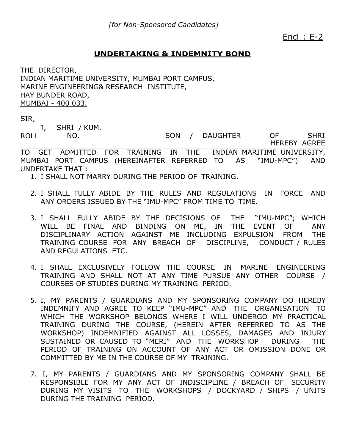Encl : E-2

#### UNDERTAKING & INDEMNITY BOND

THE DIRECTOR, INDIAN MARITIME UNIVERSITY, MUMBAI PORT CAMPUS, MARINE ENGINEERING& RESEARCH INSTITUTE, HAY BUNDER ROAD, MUMBAI - 400 033.

SIR,

ROLL I, SHRI / KUM.

NO. NO. SON / DAUGHTER OF SHRI HEREBY AGREE

TO GET ADMITTED FOR TRAINING IN THE INDIAN MARITIME UNIVERSITY, MUMBAI PORT CAMPUS (HEREINAFTER REFERRED TO AS "IMU-MPC") AND UNDERTAKE THAT :

- 1. I SHALL NOT MARRY DURING THE PERIOD OF TRAINING.
- 2. I SHALL FULLY ABIDE BY THE RULES AND REGULATIONS IN FORCE AND ANY ORDERS ISSUED BY THE "IMU-MPC" FROM TIME TO TIME.
- 3. I SHALL FULLY ABIDE BY THE DECISIONS OF THE "IMU-MPC"; WHICH WILL BE FINAL AND BINDING ON ME, IN THE EVENT OF ANY DISCIPLINARY ACTION AGAINST ME INCLUDING EXPULSION FROM THE TRAINING COURSE FOR ANY BREACH OF DISCIPLINE, CONDUCT / RULES AND REGULATIONS ETC.
- 4. I SHALL EXCLUSIVELY FOLLOW THE COURSE IN MARINE ENGINEERING TRAINING AND SHALL NOT AT ANY TIME PURSUE ANY OTHER COURSE / COURSES OF STUDIES DURING MY TRAINING PERIOD.
- 5. I, MY PARENTS / GUARDIANS AND MY SPONSORING COMPANY DO HEREBY INDEMNIFY AND AGREE TO KEEP "IMU-MPC" AND THE ORGANISATION TO WHICH THE WORKSHOP BELONGS WHERE I WILL UNDERGO MY PRACTICAL TRAINING DURING THE COURSE, (HEREIN AFTER REFERRED TO AS THE WORKSHOP) INDEMNIFIED AGAINST ALL LOSSES, DAMAGES AND INJURY SUSTAINED OR CAUSED TO "MERI" AND THE WORKSHOP DURING THE PERIOD OF TRAINING ON ACCOUNT OF ANY ACT OR OMISSION DONE OR COMMITTED BY ME IN THE COURSE OF MY TRAINING.
- 7. I, MY PARENTS / GUARDIANS AND MY SPONSORING COMPANY SHALL BE RESPONSIBLE FOR MY ANY ACT OF INDISCIPLINE / BREACH OF SECURITY DURING MY VISITS TO THE WORKSHOPS / DOCKYARD / SHIPS / UNITS DURING THE TRAINING PERIOD.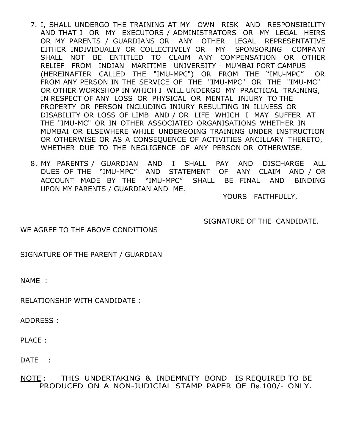- 7. I, SHALL UNDERGO THE TRAINING AT MY OWN RISK AND RESPONSIBILITY AND THAT I OR MY EXECUTORS / ADMINISTRATORS OR MY LEGAL HEIRS OR MY PARENTS / GUARDIANS OR ANY OTHER LEGAL REPRESENTATIVE EITHER INDIVIDUALLY OR COLLECTIVELY OR MY SPONSORING COMPANY SHALL NOT BE ENTITLED TO CLAIM ANY COMPENSATION OR OTHER RELIEF FROM INDIAN MARITIME UNIVERSITY – MUMBAI PORT CAMPUS (HEREINAFTER CALLED THE "IMU-MPC") OR FROM THE "IMU-MPC" OR FROM ANY PERSON IN THE SERVICE OF THE "IMU-MPC" OR THE "IMU-MC" OR OTHER WORKSHOP IN WHICH I WILL UNDERGO MY PRACTICAL TRAINING, IN RESPECT OF ANY LOSS OR PHYSICAL OR MENTAL INJURY TO THE PROPERTY OR PERSON INCLUDING INJURY RESULTING IN ILLNESS OR DISABILITY OR LOSS OF LIMB AND / OR LIFE WHICH I MAY SUFFER AT THE "IMU-MC" OR IN OTHER ASSOCIATED ORGANISATIONS WHETHER IN MUMBAI OR ELSEWHERE WHILE UNDERGOING TRAINING UNDER INSTRUCTION OR OTHERWISE OR AS A CONSEQUENCE OF ACTIVITIES ANCILLARY THERETO, WHETHER DUE TO THE NEGLIGENCE OF ANY PERSON OR OTHERWISE.
- 8. MY PARENTS / GUARDIAN AND I SHALL PAY AND DISCHARGE ALL DUES OF THE "IMU-MPC" AND STATEMENT OF ANY CLAIM AND / OR ACCOUNT MADE BY THE "IMU-MPC" SHALL BE FINAL AND BINDING UPON MY PARENTS / GUARDIAN AND ME.

YOURS FAITHFULLY,

SIGNATURE OF THE CANDIDATE.

WE AGREE TO THE ABOVE CONDITIONS

SIGNATURE OF THE PARENT / GUARDIAN

NAME :

RELATIONSHIP WITH CANDIDATE :

ADDRESS :

PLACE :

DATE :

NOTE : THIS UNDERTAKING & INDEMNITY BOND IS REQUIRED TO BE PRODUCED ON A NON-JUDICIAL STAMP PAPER OF Rs.100/- ONLY.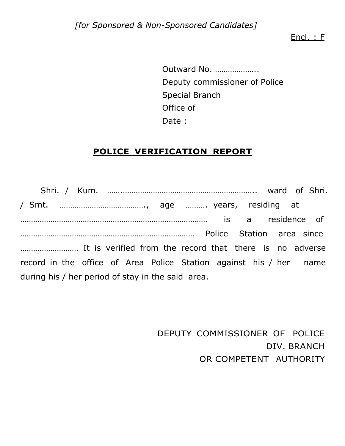[for Sponsored & Non-Sponsored Candidates]

Encl. : F

Outward No. ……………….. Deputy commissioner of Police Special Branch Office of Date :

## POLICE VERIFICATION REPORT

Shri. / Kum. …….…………………………………………………….. ward of Shri. / Smt. …………………………………., age ………. years, residing at …………………………………………………………………………… is a residence of ……………………………………………………………………… Police Station area since ……………………… It is verified from the record that there is no adverse record in the office of Area Police Station against his / her name during his / her period of stay in the said area.

> DEPUTY COMMISSIONER OF POLICE DIV. BRANCH OR COMPETENT AUTHORITY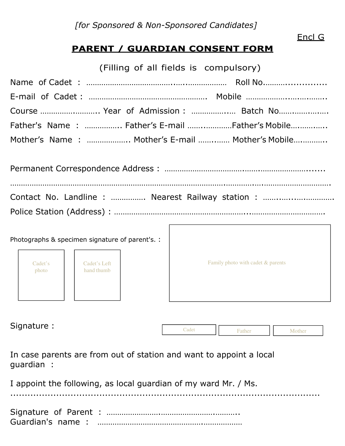[for Sponsored & Non-Sponsored Candidates]

# PARENT / GUARDIAN CONSENT FORM

(Filling of all fields is compulsory)

| Course  Year of Admission :  Batch No            |  |
|--------------------------------------------------|--|
| Father's Name:  Father's E-mail Father's Mobile  |  |
| Mother's Name:  Mother's E-mail  Mother's Mobile |  |

| Contact No. Landline :  Nearest Railway station : |
|---------------------------------------------------|
|                                                   |

Г

|                  | Photographs & specimen signature of parent's. : |                                   |
|------------------|-------------------------------------------------|-----------------------------------|
| Cadet's<br>photo | Cadet's Left<br>hand thumb                      | Family photo with cadet & parents |
|                  |                                                 |                                   |

Signature :

Father Mother Cadet

In case parents are from out of station and want to appoint a local guardian :

I appoint the following, as local guardian of my ward Mr. / Ms.

Signature of Parent : …………………….…………………….……….. Guardian's name : ………………………………………….………………

............................................................................................................

Encl G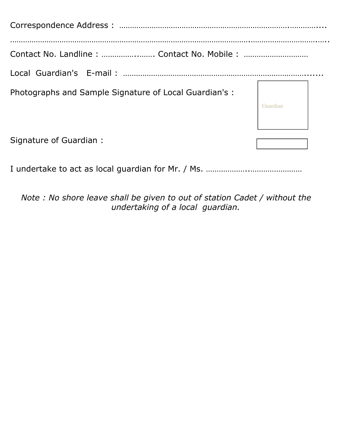| Contact No. Landline :  Contact No. Mobile :           |         |
|--------------------------------------------------------|---------|
|                                                        |         |
| Photographs and Sample Signature of Local Guardian's : | Guardia |
| Signature of Guardian:                                 |         |

I undertake to act as local guardian for Mr. / Ms. ………………..……………………

Note : No shore leave shall be given to out of station Cadet / without the undertaking of a local guardian.